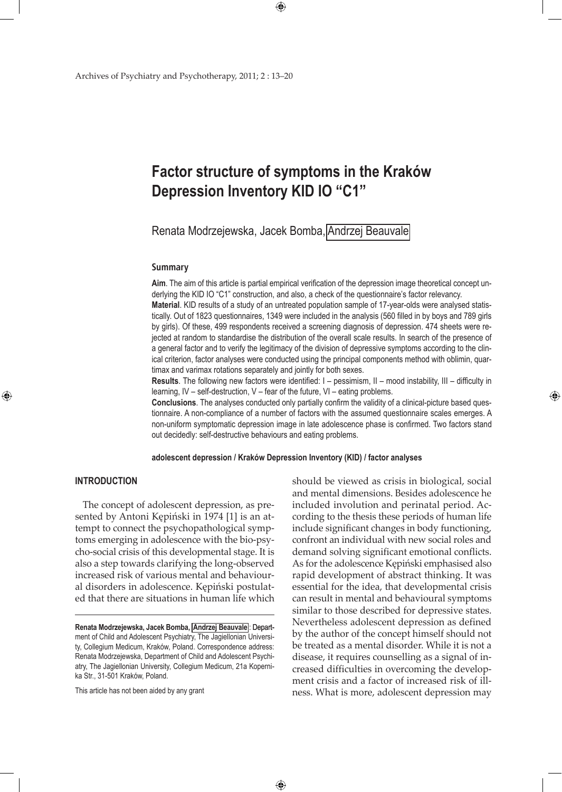# **Factor structure of symptoms in the Kraków Depression Inventory KID IO "C1"**

 $\bigoplus$ 

Renata Modrzejewska, Jacek Bomba, Andrzej Beauvale

#### **Summary**

**Aim**. The aim of this article is partial empirical verification of the depression image theoretical concept underlying the KID IO "C1" construction, and also, a check of the questionnaire's factor relevancy. **Material**. KID results of a study of an untreated population sample of 17-year-olds were analysed statistically. Out of 1823 questionnaires, 1349 were included in the analysis (560 filled in by boys and 789 girls by girls). Of these, 499 respondents received a screening diagnosis of depression. 474 sheets were rejected at random to standardise the distribution of the overall scale results. In search of the presence of a general factor and to verify the legitimacy of the division of depressive symptoms according to the clinical criterion, factor analyses were conducted using the principal components method with oblimin, quartimax and varimax rotations separately and jointly for both sexes.

**Results**. The following new factors were identified: I – pessimism, II – mood instability, III – difficulty in learning, IV – self-destruction, V – fear of the future, VI – eating problems.

**Conclusions**. The analyses conducted only partially confirm the validity of a clinical-picture based questionnaire. A non-compliance of a number of factors with the assumed questionnaire scales emerges. A non-uniform symptomatic depression image in late adolescence phase is confirmed. Two factors stand out decidedly: self-destructive behaviours and eating problems.

**adolescent depression / Kraków Depression Inventory (KID) / factor analyses**

 $\bigoplus$ 

# **INTRODUCTION**

⊕

The concept of adolescent depression, as presented by Antoni Kępiński in 1974 [1] is an attempt to connect the psychopathological symptoms emerging in adolescence with the bio-psycho-social crisis of this developmental stage. It is also a step towards clarifying the long-observed increased risk of various mental and behavioural disorders in adolescence. Kępiński postulated that there are situations in human life which

This article has not been aided by any grant

should be viewed as crisis in biological, social and mental dimensions. Besides adolescence he included involution and perinatal period. According to the thesis these periods of human life include significant changes in body functioning, confront an individual with new social roles and demand solving significant emotional conflicts. As for the adolescence Kępiński emphasised also rapid development of abstract thinking. It was essential for the idea, that developmental crisis can result in mental and behavioural symptoms similar to those described for depressive states. Nevertheless adolescent depression as defined by the author of the concept himself should not be treated as a mental disorder. While it is not a disease, it requires counselling as a signal of increased difficulties in overcoming the development crisis and a factor of increased risk of illness. What is more, adolescent depression may

⊕

**Renata Modrzejewska, Jacek Bomba, Andrzej Beauvale** : Department of Child and Adolescent Psychiatry, The Jagiellonian University, Collegium Medicum, Kraków, Poland. Correspondence address: Renata Modrzejewska, Department of Child and Adolescent Psychiatry, The Jagiellonian University, Collegium Medicum, 21a Kopernika Str., 31-501 Kraków, Poland.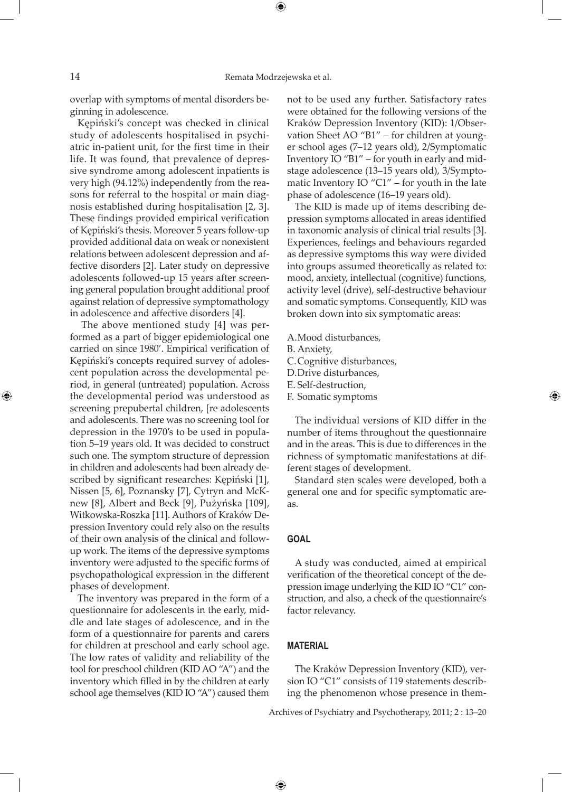⊕

overlap with symptoms of mental disorders beginning in adolescence.

Kępiński's concept was checked in clinical study of adolescents hospitalised in psychiatric in-patient unit, for the first time in their life. It was found, that prevalence of depressive syndrome among adolescent inpatients is very high (94.12%) independently from the reasons for referral to the hospital or main diagnosis established during hospitalisation [2, 3]. These findings provided empirical verification of Kępiński's thesis. Moreover 5 years follow-up provided additional data on weak or nonexistent relations between adolescent depression and affective disorders [2]. Later study on depressive adolescents followed-up 15 years after screening general population brought additional proof against relation of depressive symptomathology in adolescence and affective disorders [4].

 The above mentioned study [4] was performed as a part of bigger epidemiological one carried on since 1980'. Empirical verification of Kępiński's concepts required survey of adolescent population across the developmental period, in general (untreated) population. Across the developmental period was understood as screening prepubertal children, [re adolescents and adolescents. There was no screening tool for depression in the 1970's to be used in population 5–19 years old. It was decided to construct such one. The symptom structure of depression in children and adolescents had been already described by significant researches: Kępiński [1], Nissen [5, 6], Poznansky [7], Cytryn and McKnew [8], Albert and Beck [9], Pużyńska [109], Witkowska-Roszka [11]. Authors of Kraków Depression Inventory could rely also on the results of their own analysis of the clinical and followup work. The items of the depressive symptoms inventory were adjusted to the specific forms of psychopathological expression in the different phases of development.

The inventory was prepared in the form of a questionnaire for adolescents in the early, middle and late stages of adolescence, and in the form of a questionnaire for parents and carers for children at preschool and early school age. The low rates of validity and reliability of the tool for preschool children (KID AO "A") and the inventory which filled in by the children at early school age themselves (KID IO "A") caused them

not to be used any further. Satisfactory rates were obtained for the following versions of the Kraków Depression Inventory (KID): 1/Observation Sheet AO "B1" – for children at younger school ages (7–12 years old), 2/Symptomatic Inventory IO "B1" – for youth in early and midstage adolescence (13–15 years old), 3/Symptomatic Inventory IO "C1" – for youth in the late phase of adolescence (16–19 years old).

The KID is made up of items describing depression symptoms allocated in areas identified in taxonomic analysis of clinical trial results [3]. Experiences, feelings and behaviours regarded as depressive symptoms this way were divided into groups assumed theoretically as related to: mood, anxiety, intellectual (cognitive) functions, activity level (drive), self-destructive behaviour and somatic symptoms. Consequently, KID was broken down into six symptomatic areas:

- A.Mood disturbances,
- B. Anxiety,
- C.Cognitive disturbances,
- D.Drive disturbances,
- E. Self-destruction,
- F. Somatic symptoms

The individual versions of KID differ in the number of items throughout the questionnaire and in the areas. This is due to differences in the richness of symptomatic manifestations at different stages of development.

Standard sten scales were developed, both a general one and for specific symptomatic areas.

#### **GOAL**

A study was conducted, aimed at empirical verification of the theoretical concept of the depression image underlying the KID IO "C1" construction, and also, a check of the questionnaire's factor relevancy.

## **MATERIAL**

 $\bigoplus$ 

The Kraków Depression Inventory (KID), version IO "C1" consists of 119 statements describing the phenomenon whose presence in them-

Archives of Psychiatry and Psychotherapy, 2011; 2 : 13–20

⊕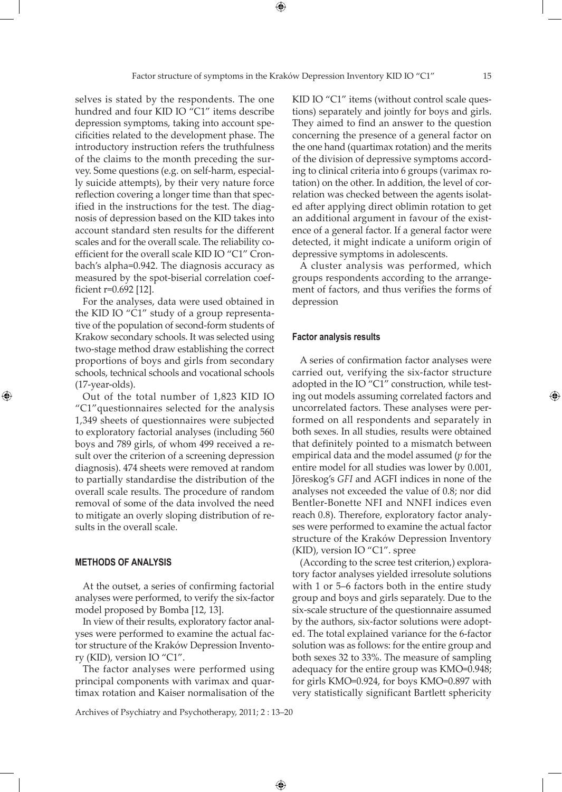selves is stated by the respondents. The one hundred and four KID IO "C1" items describe depression symptoms, taking into account specificities related to the development phase. The introductory instruction refers the truthfulness of the claims to the month preceding the survey. Some questions (e.g. on self-harm, especially suicide attempts), by their very nature force reflection covering a longer time than that specified in the instructions for the test. The diagnosis of depression based on the KID takes into account standard sten results for the different scales and for the overall scale. The reliability coefficient for the overall scale KID IO "C1" Cronbach's alpha=0.942. The diagnosis accuracy as measured by the spot-biserial correlation coefficient r=0.692 [12].

For the analyses, data were used obtained in the KID IO "C1" study of a group representative of the population of second-form students of Krakow secondary schools. It was selected using two-stage method draw establishing the correct proportions of boys and girls from secondary schools, technical schools and vocational schools (17-year-olds).

Out of the total number of 1,823 KID IO "C1"questionnaires selected for the analysis 1,349 sheets of questionnaires were subjected to exploratory factorial analyses (including 560 boys and 789 girls, of whom 499 received a result over the criterion of a screening depression diagnosis). 474 sheets were removed at random to partially standardise the distribution of the overall scale results. The procedure of random removal of some of the data involved the need to mitigate an overly sloping distribution of results in the overall scale.

# **METHODS OF ANALYSIS**

⊕

At the outset, a series of confirming factorial analyses were performed, to verify the six-factor model proposed by Bomba [12, 13].

In view of their results, exploratory factor analyses were performed to examine the actual factor structure of the Kraków Depression Inventory (KID), version IO "C1".

The factor analyses were performed using principal components with varimax and quartimax rotation and Kaiser normalisation of the

KID IO "C1" items (without control scale questions) separately and jointly for boys and girls. They aimed to find an answer to the question concerning the presence of a general factor on the one hand (quartimax rotation) and the merits of the division of depressive symptoms according to clinical criteria into 6 groups (varimax rotation) on the other. In addition, the level of correlation was checked between the agents isolated after applying direct oblimin rotation to get an additional argument in favour of the existence of a general factor. If a general factor were detected, it might indicate a uniform origin of depressive symptoms in adolescents.

A cluster analysis was performed, which groups respondents according to the arrangement of factors, and thus verifies the forms of depression

#### **Factor analysis results**

A series of confirmation factor analyses were carried out, verifying the six-factor structure adopted in the IO "C1" construction, while testing out models assuming correlated factors and uncorrelated factors. These analyses were performed on all respondents and separately in both sexes. In all studies, results were obtained that definitely pointed to a mismatch between empirical data and the model assumed (*p* for the entire model for all studies was lower by 0.001, Jöreskog's *GFI* and AGFI indices in none of the analyses not exceeded the value of 0.8; nor did Bentler-Bonette NFI and NNFI indices even reach 0.8). Therefore, exploratory factor analyses were performed to examine the actual factor structure of the Kraków Depression Inventory (KID), version IO "C1". spree

(According to the scree test criterion,) exploratory factor analyses yielded irresolute solutions with 1 or 5–6 factors both in the entire study group and boys and girls separately. Due to the six-scale structure of the questionnaire assumed by the authors, six-factor solutions were adopted. The total explained variance for the 6-factor solution was as follows: for the entire group and both sexes 32 to 33%. The measure of sampling adequacy for the entire group was KMO=0.948; for girls KMO=0.924, for boys KMO=0.897 with very statistically significant Bartlett sphericity

Archives of Psychiatry and Psychotherapy, 2011; 2 : 13–20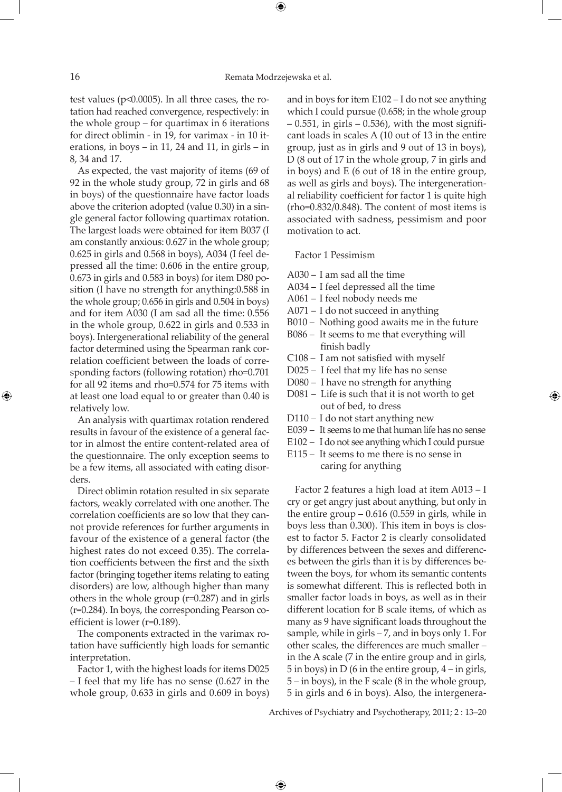⊕

test values (p<0.0005). In all three cases, the rotation had reached convergence, respectively: in the whole group – for quartimax in 6 iterations for direct oblimin - in 19, for varimax - in 10 iterations, in boys – in 11, 24 and 11, in girls – in 8, 34 and 17.

As expected, the vast majority of items (69 of 92 in the whole study group, 72 in girls and 68 in boys) of the questionnaire have factor loads above the criterion adopted (value 0.30) in a single general factor following quartimax rotation. The largest loads were obtained for item B037 (I am constantly anxious: 0.627 in the whole group; 0.625 in girls and 0.568 in boys), A034 (I feel depressed all the time: 0.606 in the entire group, 0.673 in girls and 0.583 in boys) for item D80 position (I have no strength for anything:0.588 in the whole group; 0.656 in girls and 0.504 in boys) and for item A030 (I am sad all the time: 0.556 in the whole group, 0.622 in girls and 0.533 in boys). Intergenerational reliability of the general factor determined using the Spearman rank correlation coefficient between the loads of corresponding factors (following rotation) rho=0.701 for all 92 items and rho=0.574 for 75 items with at least one load equal to or greater than 0.40 is relatively low.

An analysis with quartimax rotation rendered results in favour of the existence of a general factor in almost the entire content-related area of the questionnaire. The only exception seems to be a few items, all associated with eating disorders.

Direct oblimin rotation resulted in six separate factors, weakly correlated with one another. The correlation coefficients are so low that they cannot provide references for further arguments in favour of the existence of a general factor (the highest rates do not exceed 0.35). The correlation coefficients between the first and the sixth factor (bringing together items relating to eating disorders) are low, although higher than many others in the whole group (r=0.287) and in girls (r=0.284). In boys, the corresponding Pearson coefficient is lower (r=0.189).

The components extracted in the varimax rotation have sufficiently high loads for semantic interpretation.

Factor 1, with the highest loads for items D025 – I feel that my life has no sense (0.627 in the whole group, 0.633 in girls and 0.609 in boys)

and in boys for item E102 – I do not see anything which I could pursue (0.658; in the whole group  $-$  0.551, in girls  $-$  0.536), with the most significant loads in scales A (10 out of 13 in the entire group, just as in girls and 9 out of 13 in boys), D (8 out of 17 in the whole group, 7 in girls and in boys) and E (6 out of 18 in the entire group, as well as girls and boys). The intergenerational reliability coefficient for factor 1 is quite high (rho=0.832/0.848). The content of most items is associated with sadness, pessimism and poor motivation to act.

Factor 1 Pessimism

- A030 I am sad all the time
- A034 I feel depressed all the time
- A061 I feel nobody needs me
- A071 I do not succeed in anything
- B010 Nothing good awaits me in the future
- B086 It seems to me that everything will finish badly
- C108 I am not satisfied with myself
- D025 I feel that my life has no sense
- D080 I have no strength for anything
- D081 Life is such that it is not worth to get out of bed, to dress

⊕

- D110 I do not start anything new
- E039 It seems to me that human life has no sense
- E102 I do not see anything which I could pursue
- E115 It seems to me there is no sense in caring for anything

Factor 2 features a high load at item A013 – I cry or get angry just about anything, but only in the entire group  $-0.616$  (0.559 in girls, while in boys less than 0.300). This item in boys is closest to factor 5. Factor 2 is clearly consolidated by differences between the sexes and differences between the girls than it is by differences between the boys, for whom its semantic contents is somewhat different. This is reflected both in smaller factor loads in boys, as well as in their different location for B scale items, of which as many as 9 have significant loads throughout the sample, while in girls – 7, and in boys only 1. For other scales, the differences are much smaller – in the A scale (7 in the entire group and in girls, 5 in boys) in D (6 in the entire group, 4 – in girls, 5 – in boys), in the F scale (8 in the whole group, 5 in girls and 6 in boys). Also, the intergenera-

Archives of Psychiatry and Psychotherapy, 2011; 2 : 13–20

 $\bigoplus$ 

⊕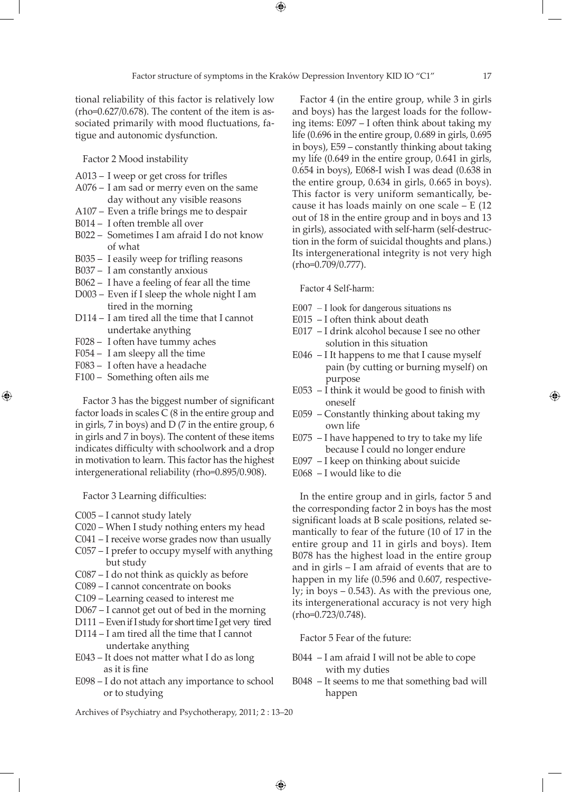⊕

tional reliability of this factor is relatively low  $(rho=0.627/0.678)$ . The content of the item is associated primarily with mood fluctuations, fatigue and autonomic dysfunction.

Factor 2 Mood instability

- A013 I weep or get cross for trifles
- A076 I am sad or merry even on the same day without any visible reasons
- A107 Even a trifle brings me to despair
- B014 I often tremble all over
- B022 Sometimes I am afraid I do not know of what
- B035 I easily weep for trifling reasons
- B037 I am constantly anxious
- B062 I have a feeling of fear all the time
- D003 Even if I sleep the whole night I am tired in the morning
- D114 I am tired all the time that I cannot undertake anything
- F028 I often have tummy aches
- F054 I am sleepy all the time
- F083 I often have a headache
- F100 Something often ails me

⊕

Factor 3 has the biggest number of significant factor loads in scales C (8 in the entire group and in girls, 7 in boys) and D (7 in the entire group, 6 in girls and 7 in boys). The content of these items indicates difficulty with schoolwork and a drop in motivation to learn. This factor has the highest intergenerational reliability (rho=0.895/0.908).

Factor 3 Learning difficulties:

- C005 I cannot study lately
- C020 When I study nothing enters my head
- C041 I receive worse grades now than usually
- C057 I prefer to occupy myself with anything but study
- C087 I do not think as quickly as before
- C089 I cannot concentrate on books
- C109 Learning ceased to interest me
- D067 I cannot get out of bed in the morning
- D111 Even if I study for short time I get very tired
- D114 I am tired all the time that I cannot undertake anything
- E043 It does not matter what I do as long as it is fine
- E098 I do not attach any importance to school or to studying

Archives of Psychiatry and Psychotherapy, 2011; 2 : 13–20

Factor 4 (in the entire group, while 3 in girls and boys) has the largest loads for the following items: E097 – I often think about taking my life (0.696 in the entire group, 0.689 in girls, 0.695 in boys), E59 – constantly thinking about taking my life (0.649 in the entire group, 0.641 in girls, 0.654 in boys), E068-I wish I was dead (0.638 in the entire group, 0.634 in girls, 0.665 in boys). This factor is very uniform semantically, because it has loads mainly on one scale – E (12 out of 18 in the entire group and in boys and 13 in girls), associated with self-harm (self-destruction in the form of suicidal thoughts and plans.) Its intergenerational integrity is not very high (rho=0.709/0.777).

Factor 4 Self-harm:

- E007 I look for dangerous situations ns
- E015 I often think about death
- E017 I drink alcohol because I see no other solution in this situation
- E046 I It happens to me that I cause myself pain (by cutting or burning myself) on purpose
- E053 I think it would be good to finish with oneself
- E059 Constantly thinking about taking my own life
- E075 I have happened to try to take my life because I could no longer endure
- E097 I keep on thinking about suicide
- E068 I would like to die

In the entire group and in girls, factor 5 and the corresponding factor 2 in boys has the most significant loads at B scale positions, related semantically to fear of the future (10 of 17 in the entire group and 11 in girls and boys). Item B078 has the highest load in the entire group and in girls – I am afraid of events that are to happen in my life (0.596 and 0.607, respectively; in boys  $-0.543$ ). As with the previous one, its intergenerational accuracy is not very high (rho=0.723/0.748).

Factor 5 Fear of the future:

- B044 I am afraid I will not be able to cope with my duties
- B048 It seems to me that something bad will happen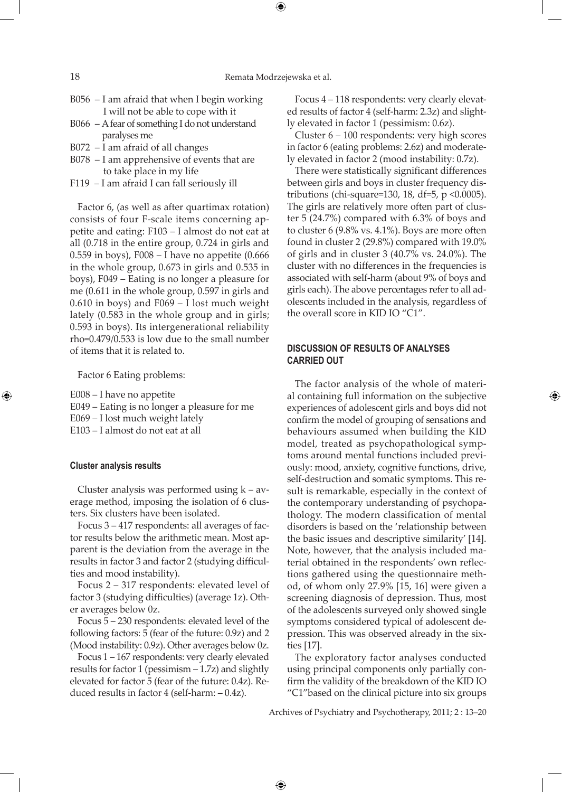## 18 Remata Modrzejewska et al.

⊕

- B056 I am afraid that when I begin working I will not be able to cope with it
- B066 A fear of something I do not understand paralyses me
- B072 I am afraid of all changes
- B078 I am apprehensive of events that are to take place in my life
- F119 I am afraid I can fall seriously ill

Factor 6, (as well as after quartimax rotation) consists of four F-scale items concerning appetite and eating: F103 – I almost do not eat at all (0.718 in the entire group, 0.724 in girls and 0.559 in boys), F008 – I have no appetite (0.666 in the whole group, 0.673 in girls and 0.535 in boys), F049 – Eating is no longer a pleasure for me (0.611 in the whole group, 0.597 in girls and 0.610 in boys) and F069 – I lost much weight lately (0.583 in the whole group and in girls; 0.593 in boys). Its intergenerational reliability rho=0.479/0.533 is low due to the small number of items that it is related to.

Factor 6 Eating problems:

E008 – I have no appetite E049 – Eating is no longer a pleasure for me E069 – I lost much weight lately E103 – I almost do not eat at all

#### **Cluster analysis results**

⊕

Cluster analysis was performed using  $k - av$ erage method, imposing the isolation of 6 clusters. Six clusters have been isolated.

Focus 3 – 417 respondents: all averages of factor results below the arithmetic mean. Most apparent is the deviation from the average in the results in factor 3 and factor 2 (studying difficulties and mood instability).

Focus 2 – 317 respondents: elevated level of factor 3 (studying difficulties) (average 1z). Other averages below 0z.

Focus 5 – 230 respondents: elevated level of the following factors: 5 (fear of the future: 0.9z) and 2 (Mood instability: 0.9z). Other averages below 0z.

Focus 1 – 167 respondents: very clearly elevated results for factor 1 (pessimism – 1.7z) and slightly elevated for factor 5 (fear of the future: 0.4z). Reduced results in factor 4 (self-harm: – 0.4z).

Focus 4 – 118 respondents: very clearly elevated results of factor 4 (self-harm: 2.3z) and slightly elevated in factor 1 (pessimism: 0.6z).

Cluster 6 – 100 respondents: very high scores in factor 6 (eating problems: 2.6z) and moderately elevated in factor 2 (mood instability: 0.7z).

There were statistically significant differences between girls and boys in cluster frequency distributions (chi-square=130, 18, df=5,  $p \le 0.0005$ ). The girls are relatively more often part of cluster 5 (24.7%) compared with 6.3% of boys and to cluster 6 (9.8% vs. 4.1%). Boys are more often found in cluster 2 (29.8%) compared with 19.0% of girls and in cluster 3 (40.7% vs. 24.0%). The cluster with no differences in the frequencies is associated with self-harm (about 9% of boys and girls each). The above percentages refer to all adolescents included in the analysis, regardless of the overall score in KID IO "C1".

# **DISCUSSION OF RESULTS OF ANALYSES CARRIED OUT**

The factor analysis of the whole of material containing full information on the subjective experiences of adolescent girls and boys did not confirm the model of grouping of sensations and behaviours assumed when building the KID model, treated as psychopathological symptoms around mental functions included previously: mood, anxiety, cognitive functions, drive, self-destruction and somatic symptoms. This result is remarkable, especially in the context of the contemporary understanding of psychopathology. The modern classification of mental disorders is based on the 'relationship between the basic issues and descriptive similarity' [14]. Note, however, that the analysis included material obtained in the respondents' own reflections gathered using the questionnaire method, of whom only 27.9% [15, 16] were given a screening diagnosis of depression. Thus, most of the adolescents surveyed only showed single symptoms considered typical of adolescent depression. This was observed already in the sixties [17].

↔

The exploratory factor analyses conducted using principal components only partially confirm the validity of the breakdown of the KID IO "C1"based on the clinical picture into six groups

Archives of Psychiatry and Psychotherapy, 2011; 2 : 13–20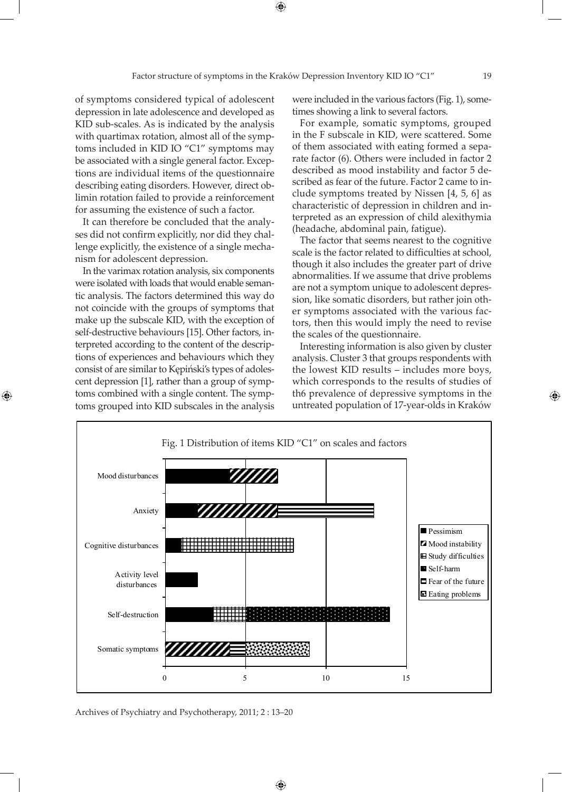$\bigoplus$ 

of symptoms considered typical of adolescent depression in late adolescence and developed as KID sub-scales. As is indicated by the analysis with quartimax rotation, almost all of the symptoms included in KID IO "C1" symptoms may be associated with a single general factor. Exceptions are individual items of the questionnaire describing eating disorders. However, direct oblimin rotation failed to provide a reinforcement clude symptoms treated by Nissel for assuming the existence of such a factor.

It can therefore be concluded that the analy-<br> $\frac{1}{2}$  terpreted ses did not confirm explicitly, nor did they challenge explicitly, the existence of a single mechanism for adolescent depression.

In the varimax rotation analysis, six components were isolated with loads that would enable semantic analysis. The factors determined this way do not coincide with the groups of symptoms that make up the subscale KID, with the exception of self-destructive behaviours [15]. Other factors, interpreted according to the content of the descriptions of experiences and behaviours which they consist of are similar to Kępiński's types of adolescent depression [1], rather than a group of symptoms combined with a single content. The symptoms grouped into KID subscales in the analysis

⊕

were included in the various factors (Fig. 1), sometimes showing a link to several factors.

For example, somatic symptoms, grouped in the F subscale in KID, were scattered. Some of them associated with eating formed a separate factor (6). Others were included in factor 2 described as mood instability and factor 5 described as fear of the future. Factor 2 came to include symptoms treated by Nissen [4, 5, 6] as characteristic of depression in children and interpreted as an expression of child alexithymia (headache, abdominal pain, fatigue).

The factor that seems nearest to the cognitive scale is the factor related to difficulties at school, though it also includes the greater part of drive abnormalities. If we assume that drive problems are not a symptom unique to adolescent depression, like somatic disorders, but rather join other symptoms associated with the various factors, then this would imply the need to revise the scales of the questionnaire.

Interesting information is also given by cluster analysis. Cluster 3 that groups respondents with the lowest KID results – includes more boys, which corresponds to the results of studies of th6 prevalence of depressive symptoms in the untreated population of 17-year-olds in Kraków



Archives of Psychiatry and Psychotherapy, 2011; 2 : 13–20